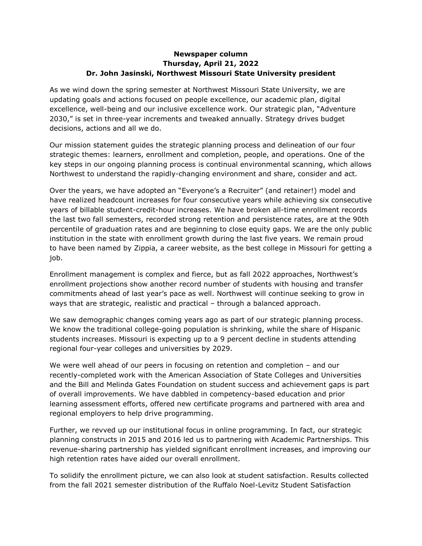## **Newspaper column Thursday, April 21, 2022 Dr. John Jasinski, Northwest Missouri State University president**

As we wind down the spring semester at Northwest Missouri State University, we are updating goals and actions focused on people excellence, our academic plan, digital excellence, well-being and our inclusive excellence work. Our strategic plan, "Adventure 2030," is set in three-year increments and tweaked annually. Strategy drives budget decisions, actions and all we do.

Our mission statement guides the strategic planning process and delineation of our four strategic themes: learners, enrollment and completion, people, and operations. One of the key steps in our ongoing planning process is continual environmental scanning, which allows Northwest to understand the rapidly-changing environment and share, consider and act.

Over the years, we have adopted an "Everyone's a Recruiter" (and retainer!) model and have realized headcount increases for four consecutive years while achieving six consecutive years of billable student-credit-hour increases. We have broken all-time enrollment records the last two fall semesters, recorded strong retention and persistence rates, are at the 90th percentile of graduation rates and are beginning to close equity gaps. We are the only public institution in the state with enrollment growth during the last five years. We remain proud to have been named by Zippia, a career website, as the best college in Missouri for getting a job.

Enrollment management is complex and fierce, but as fall 2022 approaches, Northwest's enrollment projections show another record number of students with housing and transfer commitments ahead of last year's pace as well. Northwest will continue seeking to grow in ways that are strategic, realistic and practical – through a balanced approach.

We saw demographic changes coming years ago as part of our strategic planning process. We know the traditional college-going population is shrinking, while the share of Hispanic students increases. Missouri is expecting up to a 9 percent decline in students attending regional four-year colleges and universities by 2029.

We were well ahead of our peers in focusing on retention and completion – and our recently-completed work with the American Association of State Colleges and Universities and the Bill and Melinda Gates Foundation on student success and achievement gaps is part of overall improvements. We have dabbled in competency-based education and prior learning assessment efforts, offered new certificate programs and partnered with area and regional employers to help drive programming.

Further, we revved up our institutional focus in online programming. In fact, our strategic planning constructs in 2015 and 2016 led us to partnering with Academic Partnerships. This revenue-sharing partnership has yielded significant enrollment increases, and improving our high retention rates have aided our overall enrollment.

To solidify the enrollment picture, we can also look at student satisfaction. Results collected from the fall 2021 semester distribution of the Ruffalo Noel-Levitz Student Satisfaction